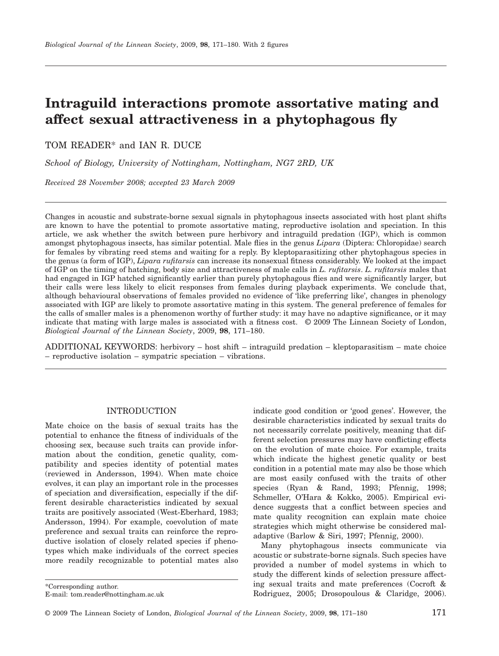# **Intraguild interactions promote assortative mating and affect sexual attractiveness in a phytophagous fly**

TOM READER\* and IAN R. DUCE

*School of Biology, University of Nottingham, Nottingham, NG7 2RD, UK*

*Received 28 November 2008; accepted 23 March 2009* 

Changes in acoustic and substrate-borne sexual signals in phytophagous insects associated with host plant shifts are known to have the potential to promote assortative mating, reproductive isolation and speciation. In this article, we ask whether the switch between pure herbivory and intraguild predation (IGP), which is common amongst phytophagous insects, has similar potential. Male flies in the genus *Lipara* (Diptera: Chloropidae) search for females by vibrating reed stems and waiting for a reply. By kleptoparasitizing other phytophagous species in the genus (a form of IGP), *Lipara rufitarsis* can increase its nonsexual fitness considerably. We looked at the impact of IGP on the timing of hatching, body size and attractiveness of male calls in *L. rufitarsis*. *L. rufitarsis* males that had engaged in IGP hatched significantly earlier than purely phytophagous flies and were significantly larger, but their calls were less likely to elicit responses from females during playback experiments. We conclude that, although behavioural observations of females provided no evidence of 'like preferring like', changes in phenology associated with IGP are likely to promote assortative mating in this system. The general preference of females for the calls of smaller males is a phenomenon worthy of further study: it may have no adaptive significance, or it may indicate that mating with large males is associated with a fitness cost. © 2009 The Linnean Society of London, *Biological Journal of the Linnean Society*, 2009, **98**, 171–180.

ADDITIONAL KEYWORDS: herbivory – host shift – intraguild predation – kleptoparasitism – mate choice – reproductive isolation – sympatric speciation – vibrations.

## INTRODUCTION

Mate choice on the basis of sexual traits has the potential to enhance the fitness of individuals of the choosing sex, because such traits can provide information about the condition, genetic quality, compatibility and species identity of potential mates (reviewed in Andersson, 1994). When mate choice evolves, it can play an important role in the processes of speciation and diversification, especially if the different desirable characteristics indicated by sexual traits are positively associated (West-Eberhard, 1983; Andersson, 1994). For example, coevolution of mate preference and sexual traits can reinforce the reproductive isolation of closely related species if phenotypes which make individuals of the correct species more readily recognizable to potential mates also

\*Corresponding author. E-mail: tom.reader@nottingham.ac.uk indicate good condition or 'good genes'. However, the desirable characteristics indicated by sexual traits do not necessarily correlate positively, meaning that different selection pressures may have conflicting effects on the evolution of mate choice. For example, traits which indicate the highest genetic quality or best condition in a potential mate may also be those which are most easily confused with the traits of other species (Ryan & Rand, 1993; Pfennig, 1998; Schmeller, O'Hara & Kokko, 2005). Empirical evidence suggests that a conflict between species and mate quality recognition can explain mate choice strategies which might otherwise be considered maladaptive (Barlow & Siri, 1997; Pfennig, 2000).

Many phytophagous insects communicate via acoustic or substrate-borne signals. Such species have provided a number of model systems in which to study the different kinds of selection pressure affecting sexual traits and mate preferences (Cocroft & Rodriguez, 2005; Drosopoulous & Claridge, 2006).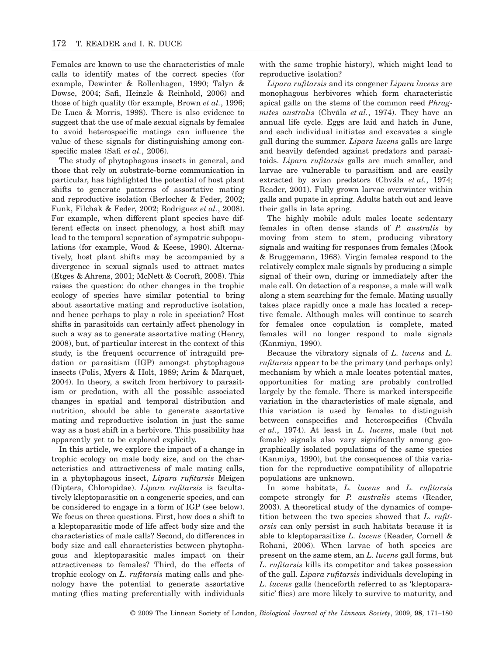Females are known to use the characteristics of male calls to identify mates of the correct species (for example, Dewinter & Rollenhagen, 1990; Talyn & Dowse, 2004; Safi, Heinzle & Reinhold, 2006) and those of high quality (for example, Brown *et al.*, 1996; De Luca & Morris, 1998). There is also evidence to suggest that the use of male sexual signals by females to avoid heterospecific matings can influence the value of these signals for distinguishing among conspecific males (Safi *et al.*, 2006).

The study of phytophagous insects in general, and those that rely on substrate-borne communication in particular, has highlighted the potential of host plant shifts to generate patterns of assortative mating and reproductive isolation (Berlocher & Feder, 2002; Funk, Filchak & Feder, 2002; Rodriguez *et al.*, 2008). For example, when different plant species have different effects on insect phenology, a host shift may lead to the temporal separation of sympatric subpopulations (for example, Wood & Keese, 1990). Alternatively, host plant shifts may be accompanied by a divergence in sexual signals used to attract mates (Etges & Ahrens, 2001; McNett & Cocroft, 2008). This raises the question: do other changes in the trophic ecology of species have similar potential to bring about assortative mating and reproductive isolation, and hence perhaps to play a role in speciation? Host shifts in parasitoids can certainly affect phenology in such a way as to generate assortative mating (Henry, 2008), but, of particular interest in the context of this study, is the frequent occurrence of intraguild predation or parasitism (IGP) amongst phytophagous insects (Polis, Myers & Holt, 1989; Arim & Marquet, 2004). In theory, a switch from herbivory to parasitism or predation, with all the possible associated changes in spatial and temporal distribution and nutrition, should be able to generate assortative mating and reproductive isolation in just the same way as a host shift in a herbivore. This possibility has apparently yet to be explored explicitly.

In this article, we explore the impact of a change in trophic ecology on male body size, and on the characteristics and attractiveness of male mating calls, in a phytophagous insect, *Lipara rufitarsis* Meigen (Diptera, Chloropidae). *Lipara rufitarsis* is facultatively kleptoparasitic on a congeneric species, and can be considered to engage in a form of IGP (see below). We focus on three questions. First, how does a shift to a kleptoparasitic mode of life affect body size and the characteristics of male calls? Second, do differences in body size and call characteristics between phytophagous and kleptoparasitic males impact on their attractiveness to females? Third, do the effects of trophic ecology on *L. rufitarsis* mating calls and phenology have the potential to generate assortative mating (flies mating preferentially with individuals

with the same trophic history), which might lead to reproductive isolation?

*Lipara rufitarsis* and its congener *Lipara lucens* are monophagous herbivores which form characteristic apical galls on the stems of the common reed *Phragmites australis* (Chvála *et al.*, 1974). They have an annual life cycle. Eggs are laid and hatch in June, and each individual initiates and excavates a single gall during the summer. *Lipara lucens* galls are large and heavily defended against predators and parasitoids. *Lipara rufitarsis* galls are much smaller, and larvae are vulnerable to parasitism and are easily extracted by avian predators (Chvála *et al.*, 1974; Reader, 2001). Fully grown larvae overwinter within galls and pupate in spring. Adults hatch out and leave their galls in late spring.

The highly mobile adult males locate sedentary females in often dense stands of *P. australis* by moving from stem to stem, producing vibratory signals and waiting for responses from females (Mook & Bruggemann, 1968). Virgin females respond to the relatively complex male signals by producing a simple signal of their own, during or immediately after the male call. On detection of a response, a male will walk along a stem searching for the female. Mating usually takes place rapidly once a male has located a receptive female. Although males will continue to search for females once copulation is complete, mated females will no longer respond to male signals (Kanmiya, 1990).

Because the vibratory signals of *L. lucens* and *L. rufitarsis* appear to be the primary (and perhaps only) mechanism by which a male locates potential mates, opportunities for mating are probably controlled largely by the female. There is marked interspecific variation in the characteristics of male signals, and this variation is used by females to distinguish between conspecifics and heterospecifics (Chvála *et al.*, 1974). At least in *L. lucens*, male (but not female) signals also vary significantly among geographically isolated populations of the same species (Kanmiya, 1990), but the consequences of this variation for the reproductive compatibility of allopatric populations are unknown.

In some habitats, *L. lucens* and *L. rufitarsis* compete strongly for *P. australis* stems (Reader, 2003). A theoretical study of the dynamics of competition between the two species showed that *L. rufitarsis* can only persist in such habitats because it is able to kleptoparasitize *L. lucens* (Reader, Cornell & Rohani, 2006). When larvae of both species are present on the same stem, an *L. lucens* gall forms, but *L. rufitarsis* kills its competitor and takes possession of the gall. *Lipara rufitarsis* individuals developing in *L. lucens* galls (henceforth referred to as 'kleptoparasitic' flies) are more likely to survive to maturity, and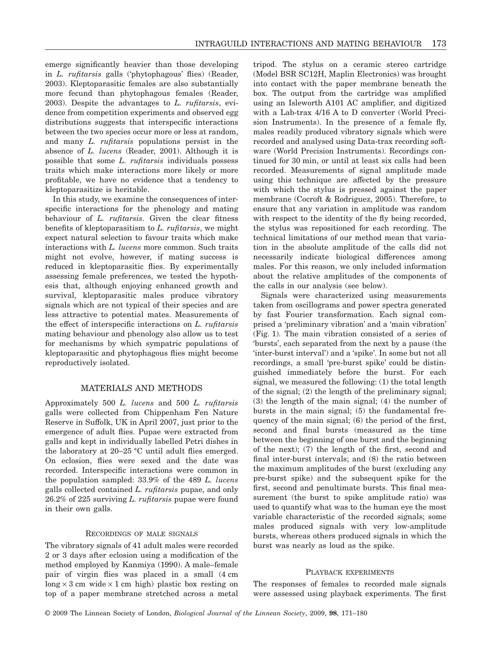emerge significantly heavier than those developing in *L. rufitarsis* galls ('phytophagous' flies) (Reader, 2003). Kleptoparasitic females are also substantially more fecund than phytophagous females (Reader, 2003). Despite the advantages to *L. rufitarsis*, evidence from competition experiments and observed egg distributions suggests that interspecific interactions between the two species occur more or less at random, and many *L. rufitarsis* populations persist in the absence of *L. lucens* (Reader, 2001). Although it is possible that some *L. rufitarsis* individuals possess traits which make interactions more likely or more profitable, we have no evidence that a tendency to kleptoparasitize is heritable.

In this study, we examine the consequences of interspecific interactions for the phenology and mating behaviour of *L. rufitarsis*. Given the clear fitness benefits of kleptoparasitism to *L. rufitarsis*, we might expect natural selection to favour traits which make interactions with *L. lucens* more common. Such traits might not evolve, however, if mating success is reduced in kleptoparasitic flies. By experimentally assessing female preferences, we tested the hypothesis that, although enjoying enhanced growth and survival, kleptoparasitic males produce vibratory signals which are not typical of their species and are less attractive to potential mates. Measurements of the effect of interspecific interactions on *L. rufitarsis* mating behaviour and phenology also allow us to test for mechanisms by which sympatric populations of kleptoparasitic and phytophagous flies might become reproductively isolated.

## MATERIALS AND METHODS

Approximately 500 *L. lucens* and 500 *L. rufitarsis* galls were collected from Chippenham Fen Nature Reserve in Suffolk, UK in April 2007, just prior to the emergence of adult flies. Pupae were extracted from galls and kept in individually labelled Petri dishes in the laboratory at 20–25 °C until adult flies emerged. On eclosion, flies were sexed and the date was recorded. Interspecific interactions were common in the population sampled: 33.9% of the 489 *L. lucens* galls collected contained *L. rufitarsis* pupae, and only 26.2% of 225 surviving *L. rufitarsis* pupae were found in their own galls.

#### RECORDINGS OF MALE SIGNALS

The vibratory signals of 41 adult males were recorded 2 or 3 days after eclosion using a modification of the method employed by Kanmiya (1990). A male–female pair of virgin flies was placed in a small (4 cm  $\log \times 3$  cm wide  $\times 1$  cm high) plastic box resting on top of a paper membrane stretched across a metal tripod. The stylus on a ceramic stereo cartridge (Model BSR SC12H, Maplin Electronics) was brought into contact with the paper membrane beneath the box. The output from the cartridge was amplified using an Isleworth A101 AC amplifier, and digitized with a Lab-trax 4/16 A to D converter (World Precision Instruments). In the presence of a female fly, males readily produced vibratory signals which were recorded and analysed using Data-trax recording software (World Precision Instruments). Recordings continued for 30 min, or until at least six calls had been recorded. Measurements of signal amplitude made using this technique are affected by the pressure with which the stylus is pressed against the paper membrane (Cocroft & Rodriguez, 2005). Therefore, to ensure that any variation in amplitude was random with respect to the identity of the fly being recorded, the stylus was repositioned for each recording. The technical limitations of our method mean that variation in the absolute amplitude of the calls did not necessarily indicate biological differences among males. For this reason, we only included information about the relative amplitudes of the components of the calls in our analysis (see below).

Signals were characterized using measurements taken from oscillograms and power spectra generated by fast Fourier transformation. Each signal comprised a 'preliminary vibration' and a 'main vibration' (Fig. 1). The main vibration consisted of a series of 'bursts', each separated from the next by a pause (the 'inter-burst interval') and a 'spike'. In some but not all recordings, a small 'pre-burst spike' could be distinguished immediately before the burst. For each signal, we measured the following: (1) the total length of the signal; (2) the length of the preliminary signal; (3) the length of the main signal; (4) the number of bursts in the main signal; (5) the fundamental frequency of the main signal; (6) the period of the first, second and final bursts (measured as the time between the beginning of one burst and the beginning of the next); (7) the length of the first, second and final inter-burst intervals; and (8) the ratio between the maximum amplitudes of the burst (excluding any pre-burst spike) and the subsequent spike for the first, second and penultimate bursts. This final measurement (the burst to spike amplitude ratio) was used to quantify what was to the human eye the most variable characteristic of the recorded signals; some males produced signals with very low-amplitude bursts, whereas others produced signals in which the burst was nearly as loud as the spike.

### PLAYBACK EXPERIMENTS

The responses of females to recorded male signals were assessed using playback experiments. The first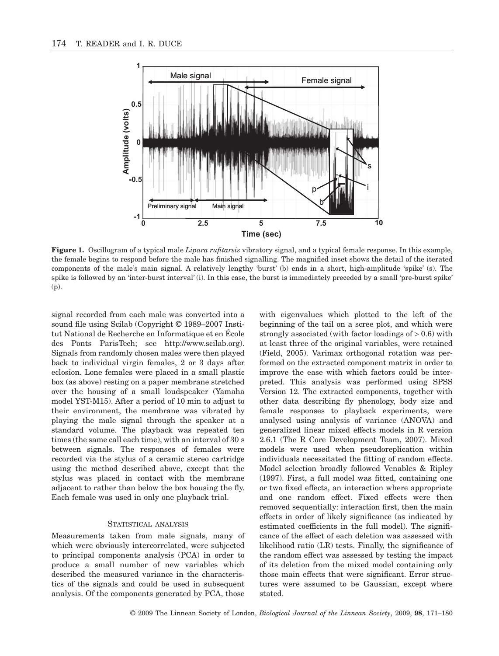

**Figure 1.** Oscillogram of a typical male *Lipara rufitarsis* vibratory signal, and a typical female response. In this example, the female begins to respond before the male has finished signalling. The magnified inset shows the detail of the iterated components of the male's main signal. A relatively lengthy 'burst' (b) ends in a short, high-amplitude 'spike' (s). The spike is followed by an 'inter-burst interval' (i). In this case, the burst is immediately preceded by a small 'pre-burst spike' (p).

signal recorded from each male was converted into a sound file using Scilab (Copyright © 1989–2007 Institut National de Recherche en Informatique et en École des Ponts ParisTech; see http://www.scilab.org). Signals from randomly chosen males were then played back to individual virgin females, 2 or 3 days after eclosion. Lone females were placed in a small plastic box (as above) resting on a paper membrane stretched over the housing of a small loudspeaker (Yamaha model YST-M15). After a period of 10 min to adjust to their environment, the membrane was vibrated by playing the male signal through the speaker at a standard volume. The playback was repeated ten times (the same call each time), with an interval of 30 s between signals. The responses of females were recorded via the stylus of a ceramic stereo cartridge using the method described above, except that the stylus was placed in contact with the membrane adjacent to rather than below the box housing the fly. Each female was used in only one playback trial.

#### STATISTICAL ANALYSIS

Measurements taken from male signals, many of which were obviously intercorrelated, were subjected to principal components analysis (PCA) in order to produce a small number of new variables which described the measured variance in the characteristics of the signals and could be used in subsequent analysis. Of the components generated by PCA, those

with eigenvalues which plotted to the left of the beginning of the tail on a scree plot, and which were strongly associated (with factor loadings of > 0.6) with at least three of the original variables, were retained (Field, 2005). Varimax orthogonal rotation was performed on the extracted component matrix in order to improve the ease with which factors could be interpreted. This analysis was performed using SPSS Version 12. The extracted components, together with other data describing fly phenology, body size and female responses to playback experiments, were analysed using analysis of variance (ANOVA) and generalized linear mixed effects models in R version 2.6.1 (The R Core Development Team, 2007). Mixed models were used when pseudoreplication within individuals necessitated the fitting of random effects. Model selection broadly followed Venables & Ripley (1997). First, a full model was fitted, containing one or two fixed effects, an interaction where appropriate and one random effect. Fixed effects were then removed sequentially: interaction first, then the main effects in order of likely significance (as indicated by estimated coefficients in the full model). The significance of the effect of each deletion was assessed with likelihood ratio (LR) tests. Finally, the significance of the random effect was assessed by testing the impact of its deletion from the mixed model containing only those main effects that were significant. Error structures were assumed to be Gaussian, except where stated.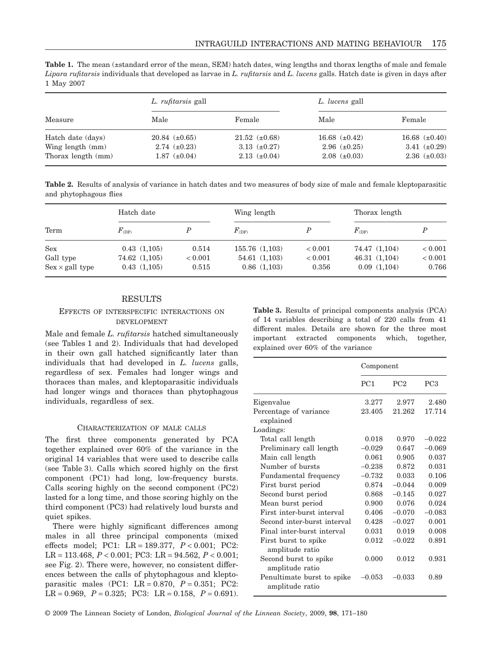**Table 1.** The mean (±standard error of the mean, SEM) hatch dates, wing lengths and thorax lengths of male and female *Lipara rufitarsis* individuals that developed as larvae in *L. rufitarsis* and *L. lucens* galls. Hatch date is given in days after 1 May 2007

| Measure            | L. rufitarsis gall   |                      | L. lucens gall      |                     |
|--------------------|----------------------|----------------------|---------------------|---------------------|
|                    | Male                 | Female               | Male                | Female              |
| Hatch date (days)  | $20.84 \ (\pm 0.65)$ | $21.52 \ (\pm 0.68)$ | 16.68 $(\pm 0.42)$  | 16.68 $(\pm 0.40)$  |
| Wing length (mm)   | $2.74 \ (\pm 0.23)$  | 3.13 $(\pm 0.27)$    | $2.96 \ (\pm 0.25)$ | 3.41 $(\pm 0.29)$   |
| Thorax length (mm) | $1.87 \ (\pm 0.04)$  | $2.13 \ (\pm 0.04)$  | $2.08 \ (\pm 0.03)$ | $2.36 \ (\pm 0.03)$ |

**Table 2.** Results of analysis of variance in hatch dates and two measures of body size of male and female kleptoparasitic and phytophagous flies

| Term                   | Hatch date                              |             | Wing length                             |             | Thorax length  |             |
|------------------------|-----------------------------------------|-------------|-----------------------------------------|-------------|----------------|-------------|
|                        | $F_{\scriptscriptstyle{\mathrm{(DF)}}}$ |             | $F_{\scriptscriptstyle{\mathrm{(DF)}}}$ |             | $F_{\rm (DF)}$ |             |
| <b>Sex</b>             | 0.43(1,105)                             | 0.514       | 155.76(1,103)                           | ${}< 0.001$ | 74.47 (1,104)  | ${}< 0.001$ |
| Gall type              | 74.62(1,105)                            | ${}< 0.001$ | 54.61 (1,103)                           | ${}< 0.001$ | 46.31(1,104)   | ${}< 0.001$ |
| $Sex \times gall$ type | 0.43(1,105)                             | 0.515       | 0.86(1,103)                             | 0.356       | 0.09(1,104)    | 0.766       |

## RESULTS

## EFFECTS OF INTERSPECIFIC INTERACTIONS ON DEVELOPMENT

Male and female *L. rufitarsis* hatched simultaneously (see Tables 1 and 2). Individuals that had developed in their own gall hatched significantly later than individuals that had developed in *L. lucens* galls, regardless of sex. Females had longer wings and thoraces than males, and kleptoparasitic individuals had longer wings and thoraces than phytophagous individuals, regardless of sex.

#### CHARACTERIZATION OF MALE CALLS

The first three components generated by PCA together explained over 60% of the variance in the original 14 variables that were used to describe calls (see Table 3). Calls which scored highly on the first component (PC1) had long, low-frequency bursts. Calls scoring highly on the second component (PC2) lasted for a long time, and those scoring highly on the third component (PC3) had relatively loud bursts and quiet spikes.

There were highly significant differences among males in all three principal components (mixed effects model; PC1: LR = 189.377, *P* < 0.001; PC2: LR = 113.468, *P* < 0.001; PC3: LR = 94.562, *P* < 0.001; see Fig. 2). There were, however, no consistent differences between the calls of phytophagous and kleptoparasitic males (PC1: LR = 0.870, *P* = 0.351; PC2: LR = 0.969,  $P = 0.325$ ; PC3: LR = 0.158,  $P = 0.691$ ). **Table 3.** Results of principal components analysis (PCA) of 14 variables describing a total of 220 calls from 41 different males. Details are shown for the three most important extracted components which, together, explained over 60% of the variance

|                                               | Component       |          |                 |
|-----------------------------------------------|-----------------|----------|-----------------|
|                                               | PC <sub>1</sub> | PC2      | PC <sub>3</sub> |
| Eigenvalue                                    | 3.277           | 2.977    | 2.480           |
| Percentage of variance<br>explained           | 23.405          | 21.262   | 17.714          |
| Loadings:                                     |                 |          |                 |
| Total call length                             | 0.018           | 0.970    | $-0.022$        |
| Preliminary call length                       | $-0.029$        | 0.647    | $-0.069$        |
| Main call length                              | 0.061           | 0.905    | 0.037           |
| Number of bursts                              | $-0.238$        | 0.872    | 0.031           |
| Fundamental frequency                         | $-0.732$        | 0.033    | 0.106           |
| First burst period                            | 0.874           | $-0.044$ | 0.009           |
| Second burst period                           | 0.868           | $-0.145$ | 0.027           |
| Mean burst period                             | 0.900           | 0.076    | 0.024           |
| First inter-burst interval                    | 0.406           | $-0.070$ | $-0.083$        |
| Second inter-burst interval                   | 0.428           | $-0.027$ | 0.001           |
| Final inter-burst interval                    | 0.031           | 0.019    | 0.008           |
| First burst to spike<br>amplitude ratio       | 0.012           | $-0.022$ | 0.891           |
| Second burst to spike<br>amplitude ratio      | 0.000           | 0.012    | 0.931           |
| Penultimate burst to spike<br>amplitude ratio | $-0.053$        | $-0.033$ | 0.89            |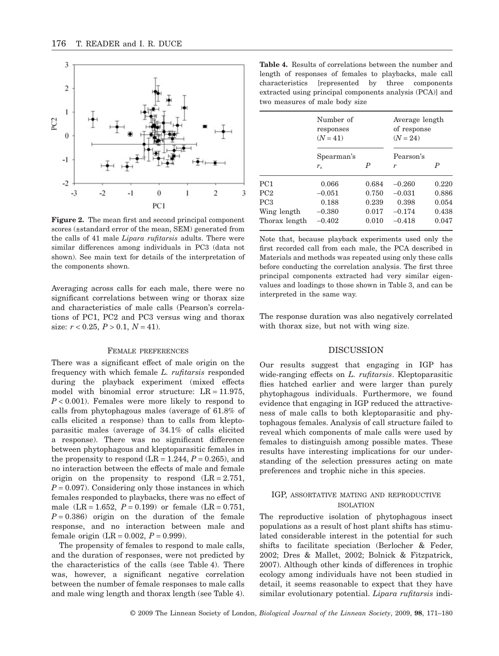

**Figure 2.** The mean first and second principal component scores (±standard error of the mean, SEM) generated from the calls of 41 male *Lipara rufitarsis* adults. There were similar differences among individuals in PC3 (data not shown). See main text for details of the interpretation of the components shown.

Averaging across calls for each male, there were no significant correlations between wing or thorax size and characteristics of male calls (Pearson's correlations of PC1, PC2 and PC3 versus wing and thorax size:  $r < 0.25$ ,  $P > 0.1$ ,  $N = 41$ ).

#### FEMALE PREFERENCES

There was a significant effect of male origin on the frequency with which female *L. rufitarsis* responded during the playback experiment (mixed effects model with binomial error structure:  $LR = 11.975$ , *P* < 0.001). Females were more likely to respond to calls from phytophagous males (average of 61.8% of calls elicited a response) than to calls from kleptoparasitic males (average of 34.1% of calls elicited a response). There was no significant difference between phytophagous and kleptoparasitic females in the propensity to respond  $(LR = 1.244, P = 0.265)$ , and no interaction between the effects of male and female origin on the propensity to respond  $(LR = 2.751,$  $P = 0.097$ . Considering only those instances in which females responded to playbacks, there was no effect of male (LR = 1.652,  $P = 0.199$ ) or female (LR = 0.751,  $P = 0.386$ ) origin on the duration of the female response, and no interaction between male and female origin  $(LR = 0.002, P = 0.999)$ .

The propensity of females to respond to male calls, and the duration of responses, were not predicted by the characteristics of the calls (see Table 4). There was, however, a significant negative correlation between the number of female responses to male calls and male wing length and thorax length (see Table 4).

**Table 4.** Results of correlations between the number and length of responses of females to playbacks, male call characteristics [represented by three components extracted using principal components analysis (PCA)] and two measures of male body size

|                              | Number of<br>responses<br>$(N = 41)$ |                | Average length<br>of response<br>$(N = 24)$ |                |
|------------------------------|--------------------------------------|----------------|---------------------------------------------|----------------|
|                              | Spearman's<br>$r_{\rm s}$            | P              | Pearson's<br>r                              | P              |
| PC <sub>1</sub>              | 0.066                                | 0.684          | $-0.260$                                    | 0.220          |
| PC2                          | $-0.051$                             | 0.750          | $-0.031$                                    | 0.886          |
| PC <sub>3</sub>              | 0.188                                | 0.239          | 0.398                                       | 0.054          |
| Wing length<br>Thorax length | $-0.380$<br>$-0.402$                 | 0.017<br>0.010 | $-0.174$<br>$-0.418$                        | 0.438<br>0.047 |

Note that, because playback experiments used only the first recorded call from each male, the PCA described in Materials and methods was repeated using only these calls before conducting the correlation analysis. The first three principal components extracted had very similar eigenvalues and loadings to those shown in Table 3, and can be interpreted in the same way.

The response duration was also negatively correlated with thorax size, but not with wing size.

## DISCUSSION

Our results suggest that engaging in IGP has wide-ranging effects on *L. rufitarsis*. Kleptoparasitic flies hatched earlier and were larger than purely phytophagous individuals. Furthermore, we found evidence that engaging in IGP reduced the attractiveness of male calls to both kleptoparasitic and phytophagous females. Analysis of call structure failed to reveal which components of male calls were used by females to distinguish among possible mates. These results have interesting implications for our understanding of the selection pressures acting on mate preferences and trophic niche in this species.

## IGP, ASSORTATIVE MATING AND REPRODUCTIVE ISOLATION

The reproductive isolation of phytophagous insect populations as a result of host plant shifts has stimulated considerable interest in the potential for such shifts to facilitate speciation (Berlocher & Feder, 2002; Dres & Mallet, 2002; Bolnick & Fitzpatrick, 2007). Although other kinds of differences in trophic ecology among individuals have not been studied in detail, it seems reasonable to expect that they have similar evolutionary potential. *Lipara rufitarsis* indi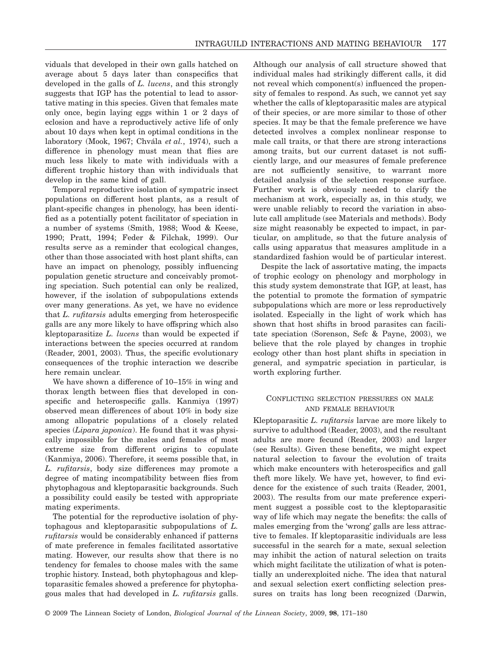viduals that developed in their own galls hatched on average about 5 days later than conspecifics that developed in the galls of *L. lucens*, and this strongly suggests that IGP has the potential to lead to assortative mating in this species. Given that females mate only once, begin laying eggs within 1 or 2 days of eclosion and have a reproductively active life of only about 10 days when kept in optimal conditions in the laboratory (Mook, 1967; Chvála *et al.*, 1974), such a difference in phenology must mean that flies are much less likely to mate with individuals with a different trophic history than with individuals that develop in the same kind of gall.

Temporal reproductive isolation of sympatric insect populations on different host plants, as a result of plant-specific changes in phenology, has been identified as a potentially potent facilitator of speciation in a number of systems (Smith, 1988; Wood & Keese, 1990; Pratt, 1994; Feder & Filchak, 1999). Our results serve as a reminder that ecological changes, other than those associated with host plant shifts, can have an impact on phenology, possibly influencing population genetic structure and conceivably promoting speciation. Such potential can only be realized, however, if the isolation of subpopulations extends over many generations. As yet, we have no evidence that *L. rufitarsis* adults emerging from heterospecific galls are any more likely to have offspring which also kleptoparasitize *L. lucens* than would be expected if interactions between the species occurred at random (Reader, 2001, 2003). Thus, the specific evolutionary consequences of the trophic interaction we describe here remain unclear.

We have shown a difference of 10–15% in wing and thorax length between flies that developed in conspecific and heterospecific galls. Kanmiya (1997) observed mean differences of about 10% in body size among allopatric populations of a closely related species (*Lipara japonica*). He found that it was physically impossible for the males and females of most extreme size from different origins to copulate (Kanmiya, 2006). Therefore, it seems possible that, in *L. rufitarsis*, body size differences may promote a degree of mating incompatibility between flies from phytophagous and kleptoparasitic backgrounds. Such a possibility could easily be tested with appropriate mating experiments.

The potential for the reproductive isolation of phytophagous and kleptoparasitic subpopulations of *L. rufitarsis* would be considerably enhanced if patterns of mate preference in females facilitated assortative mating. However, our results show that there is no tendency for females to choose males with the same trophic history. Instead, both phytophagous and kleptoparasitic females showed a preference for phytophagous males that had developed in *L. rufitarsis* galls. Although our analysis of call structure showed that individual males had strikingly different calls, it did not reveal which component(s) influenced the propensity of females to respond. As such, we cannot yet say whether the calls of kleptoparasitic males are atypical of their species, or are more similar to those of other species. It may be that the female preference we have detected involves a complex nonlinear response to male call traits, or that there are strong interactions among traits, but our current dataset is not sufficiently large, and our measures of female preference are not sufficiently sensitive, to warrant more detailed analysis of the selection response surface. Further work is obviously needed to clarify the mechanism at work, especially as, in this study, we were unable reliably to record the variation in absolute call amplitude (see Materials and methods). Body size might reasonably be expected to impact, in particular, on amplitude, so that the future analysis of calls using apparatus that measures amplitude in a standardized fashion would be of particular interest.

Despite the lack of assortative mating, the impacts of trophic ecology on phenology and morphology in this study system demonstrate that IGP, at least, has the potential to promote the formation of sympatric subpopulations which are more or less reproductively isolated. Especially in the light of work which has shown that host shifts in brood parasites can facilitate speciation (Sorenson, Sefc & Payne, 2003), we believe that the role played by changes in trophic ecology other than host plant shifts in speciation in general, and sympatric speciation in particular, is worth exploring further.

## CONFLICTING SELECTION PRESSURES ON MALE AND FEMALE BEHAVIOUR

Kleptoparasitic *L. rufitarsis* larvae are more likely to survive to adulthood (Reader, 2003), and the resultant adults are more fecund (Reader, 2003) and larger (see Results). Given these benefits, we might expect natural selection to favour the evolution of traits which make encounters with heterospecifics and gall theft more likely. We have yet, however, to find evidence for the existence of such traits (Reader, 2001, 2003). The results from our mate preference experiment suggest a possible cost to the kleptoparasitic way of life which may negate the benefits: the calls of males emerging from the 'wrong' galls are less attractive to females. If kleptoparasitic individuals are less successful in the search for a mate, sexual selection may inhibit the action of natural selection on traits which might facilitate the utilization of what is potentially an underexploited niche. The idea that natural and sexual selection exert conflicting selection pressures on traits has long been recognized (Darwin,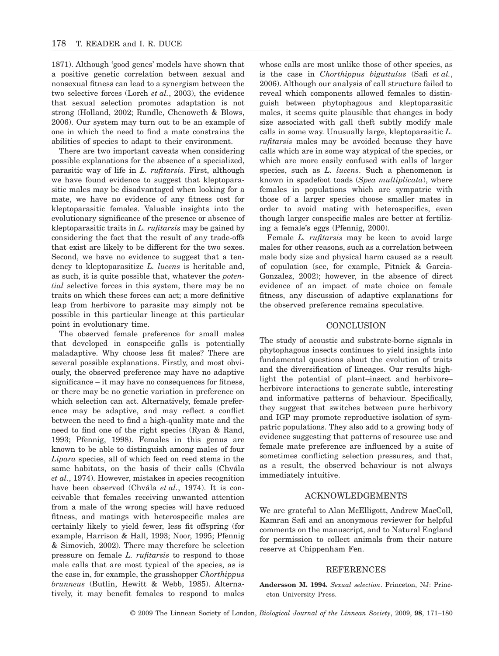1871). Although 'good genes' models have shown that a positive genetic correlation between sexual and nonsexual fitness can lead to a synergism between the two selective forces (Lorch *et al.*, 2003), the evidence that sexual selection promotes adaptation is not strong (Holland, 2002; Rundle, Chenoweth & Blows, 2006). Our system may turn out to be an example of one in which the need to find a mate constrains the abilities of species to adapt to their environment.

There are two important caveats when considering possible explanations for the absence of a specialized, parasitic way of life in *L. rufitarsis*. First, although we have found evidence to suggest that kleptoparasitic males may be disadvantaged when looking for a mate, we have no evidence of any fitness cost for kleptoparasitic females. Valuable insights into the evolutionary significance of the presence or absence of kleptoparasitic traits in *L. rufitarsis* may be gained by considering the fact that the result of any trade-offs that exist are likely to be different for the two sexes. Second, we have no evidence to suggest that a tendency to kleptoparasitize *L. lucens* is heritable and, as such, it is quite possible that, whatever the *potential* selective forces in this system, there may be no traits on which these forces can act; a more definitive leap from herbivore to parasite may simply not be possible in this particular lineage at this particular point in evolutionary time.

The observed female preference for small males that developed in conspecific galls is potentially maladaptive. Why choose less fit males? There are several possible explanations. Firstly, and most obviously, the observed preference may have no adaptive significance – it may have no consequences for fitness, or there may be no genetic variation in preference on which selection can act. Alternatively, female preference may be adaptive, and may reflect a conflict between the need to find a high-quality mate and the need to find one of the right species (Ryan & Rand, 1993; Pfennig, 1998). Females in this genus are known to be able to distinguish among males of four *Lipara* species, all of which feed on reed stems in the same habitats, on the basis of their calls (Chvála *et al.*, 1974). However, mistakes in species recognition have been observed (Chvála *et al.*, 1974). It is conceivable that females receiving unwanted attention from a male of the wrong species will have reduced fitness, and matings with heterospecific males are certainly likely to yield fewer, less fit offspring (for example, Harrison & Hall, 1993; Noor, 1995; Pfennig & Simovich, 2002). There may therefore be selection pressure on female *L. rufitarsis* to respond to those male calls that are most typical of the species, as is the case in, for example, the grasshopper *Chorthippus brunneus* (Butlin, Hewitt & Webb, 1985). Alternatively, it may benefit females to respond to males whose calls are most unlike those of other species, as is the case in *Chorthippus biguttulus* (Safi *et al.*, 2006). Although our analysis of call structure failed to reveal which components allowed females to distinguish between phytophagous and kleptoparasitic males, it seems quite plausible that changes in body size associated with gall theft subtly modify male calls in some way. Unusually large, kleptoparasitic *L. rufitarsis* males may be avoided because they have calls which are in some way atypical of the species, or which are more easily confused with calls of larger species, such as *L. lucens*. Such a phenomenon is known in spadefoot toads (*Spea multiplicata*), where females in populations which are sympatric with those of a larger species choose smaller mates in order to avoid mating with heterospecifics, even though larger conspecific males are better at fertilizing a female's eggs (Pfennig, 2000).

Female *L. rufitarsis* may be keen to avoid large males for other reasons, such as a correlation between male body size and physical harm caused as a result of copulation (see, for example, Pitnick & Garcia-Gonzalez, 2002); however, in the absence of direct evidence of an impact of mate choice on female fitness, any discussion of adaptive explanations for the observed preference remains speculative.

#### **CONCLUSION**

The study of acoustic and substrate-borne signals in phytophagous insects continues to yield insights into fundamental questions about the evolution of traits and the diversification of lineages. Our results highlight the potential of plant–insect and herbivore– herbivore interactions to generate subtle, interesting and informative patterns of behaviour. Specifically, they suggest that switches between pure herbivory and IGP may promote reproductive isolation of sympatric populations. They also add to a growing body of evidence suggesting that patterns of resource use and female mate preference are influenced by a suite of sometimes conflicting selection pressures, and that, as a result, the observed behaviour is not always immediately intuitive.

#### ACKNOWLEDGEMENTS

We are grateful to Alan McElligott, Andrew MacColl, Kamran Safi and an anonymous reviewer for helpful comments on the manuscript, and to Natural England for permission to collect animals from their nature reserve at Chippenham Fen.

#### REFERENCES

**Andersson M. 1994.** *Sexual selection*. Princeton, NJ: Princeton University Press.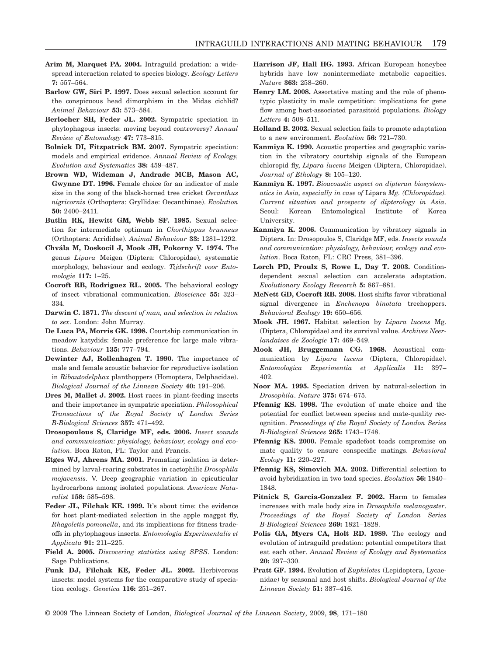- **Arim M, Marquet PA. 2004.** Intraguild predation: a widespread interaction related to species biology. *Ecology Letters* **7:** 557–564.
- **Barlow GW, Siri P. 1997.** Does sexual selection account for the conspicuous head dimorphism in the Midas cichlid? *Animal Behaviour* **53:** 573–584.
- **Berlocher SH, Feder JL. 2002.** Sympatric speciation in phytophagous insects: moving beyond controversy? *Annual Review of Entomology* **47:** 773–815.
- **Bolnick DI, Fitzpatrick BM. 2007.** Sympatric speciation: models and empirical evidence. *Annual Review of Ecology, Evolution and Systematics* **38:** 459–487.
- **Brown WD, Wideman J, Andrade MCB, Mason AC, Gwynne DT. 1996.** Female choice for an indicator of male size in the song of the black-horned tree cricket *Oecanthus nigricornis* (Orthoptera: Gryllidae: Oecanthinae). *Evolution* **50:** 2400–2411.
- **Butlin RK, Hewitt GM, Webb SF. 1985.** Sexual selection for intermediate optimum in *Chorthippus brunneus* (Orthoptera: Acrididae). *Animal Behaviour* **33:** 1281–1292.
- **Chvála M, Doskocil J, Mook JH, Pokorny V. 1974.** The genus *Lipara* Meigen (Diptera: Chloropidae), systematic morphology, behaviour and ecology. *Tijdschrift voor Entomologie* **117:** 1–25.
- **Cocroft RB, Rodriguez RL. 2005.** The behavioral ecology of insect vibrational communication. *Bioscience* **55:** 323– 334.
- **Darwin C. 1871.** *The descent of man, and selection in relation to sex*. London: John Murray.
- **De Luca PA, Morris GK. 1998.** Courtship communication in meadow katydids: female preference for large male vibrations. *Behaviour* **135:** 777–794.
- **Dewinter AJ, Rollenhagen T. 1990.** The importance of male and female acoustic behavior for reproductive isolation in *Ribautodelphax* planthoppers (Homoptera, Delphacidae). *Biological Journal of the Linnean Society* **40:** 191–206.
- **Dres M, Mallet J. 2002.** Host races in plant-feeding insects and their importance in sympatric speciation. *Philosophical Transactions of the Royal Society of London Series B-Biological Sciences* **357:** 471–492.
- **Drosopoulous S, Claridge MF, eds. 2006.** *Insect sounds and communication: physiology, behaviour, ecology and evolution*. Boca Raton, FL: Taylor and Francis.
- **Etges WJ, Ahrens MA. 2001.** Premating isolation is determined by larval-rearing substrates in cactophilic *Drosophila mojavensis*. V. Deep geographic variation in epicuticular hydrocarbons among isolated populations. *American Naturalist* **158:** 585–598.
- **Feder JL, Filchak KE. 1999.** It's about time: the evidence for host plant-mediated selection in the apple maggot fly, *Rhagoletis pomonella*, and its implications for fitness tradeoffs in phytophagous insects. *Entomologia Experimentalis et Applicata* **91:** 211–225.
- **Field A. 2005.** *Discovering statistics using SPSS*. London: Sage Publications.
- **Funk DJ, Filchak KE, Feder JL. 2002.** Herbivorous insects: model systems for the comparative study of speciation ecology. *Genetica* **116:** 251–267.
- **Harrison JF, Hall HG. 1993.** African European honeybee hybrids have low nonintermediate metabolic capacities. *Nature* **363:** 258–260.
- **Henry LM. 2008.** Assortative mating and the role of phenotypic plasticity in male competition: implications for gene flow among host-associated parasitoid populations. *Biology Letters* **4:** 508–511.
- **Holland B. 2002.** Sexual selection fails to promote adaptation to a new environment. *Evolution* **56:** 721–730.
- **Kanmiya K. 1990.** Acoustic properties and geographic variation in the vibratory courtship signals of the European chloropid fly, *Lipara lucens* Meigen (Diptera, Chloropidae). *Journal of Ethology* **8:** 105–120.
- **Kanmiya K. 1997.** *Bioacoustic aspect on dipteran biosystematics in Asia, especially in case of* Lipara *Mg. (Chloropidae). Current situation and prospects of dipterology in Asia*. Seoul: Korean Entomological Institute of Korea University.
- **Kanmiya K. 2006.** Communication by vibratory signals in Diptera. In: Drosopoulos S, Claridge MF, eds. *Insects sounds and communication: physiology, behaviour, ecology and evolution*. Boca Raton, FL: CRC Press, 381–396.
- **Lorch PD, Proulx S, Rowe L, Day T. 2003.** Conditiondependent sexual selection can accelerate adaptation. *Evolutionary Ecology Research* **5:** 867–881.
- **McNett GD, Cocroft RB. 2008.** Host shifts favor vibrational signal divergence in *Enchenopa binotata* treehoppers. *Behavioral Ecology* **19:** 650–656.
- **Mook JH. 1967.** Habitat selection by *Lipara lucens* Mg. (Diptera, Chloropidae) and its survival value. *Archives Neerlandaises de Zoologie* **17:** 469–549.
- **Mook JH, Bruggemann CG. 1968.** Acoustical communication by *Lipara lucens* (Diptera, Chloropidae). *Entomologica Experimentia et Applicalis* **11:** 397– 402.
- **Noor MA. 1995.** Speciation driven by natural-selection in *Drosophila*. *Nature* **375:** 674–675.
- **Pfennig KS. 1998.** The evolution of mate choice and the potential for conflict between species and mate-quality recognition. *Proceedings of the Royal Society of London Series B-Biological Sciences* **265:** 1743–1748.
- **Pfennig KS. 2000.** Female spadefoot toads compromise on mate quality to ensure conspecific matings. *Behavioral Ecology* **11:** 220–227.
- **Pfennig KS, Simovich MA. 2002.** Differential selection to avoid hybridization in two toad species. *Evolution* **56:** 1840– 1848.
- **Pitnick S, Garcia-Gonzalez F. 2002.** Harm to females increases with male body size in *Drosophila melanogaster*. *Proceedings of the Royal Society of London Series B-Biological Sciences* **269:** 1821–1828.
- **Polis GA, Myers CA, Holt RD. 1989.** The ecology and evolution of intraguild predation: potential competitors that eat each other. *Annual Review of Ecology and Systematics* **20:** 297–330.
- **Pratt GF. 1994.** Evolution of *Euphilotes* (Lepidoptera, Lycaenidae) by seasonal and host shifts. *Biological Journal of the Linnean Society* **51:** 387–416.